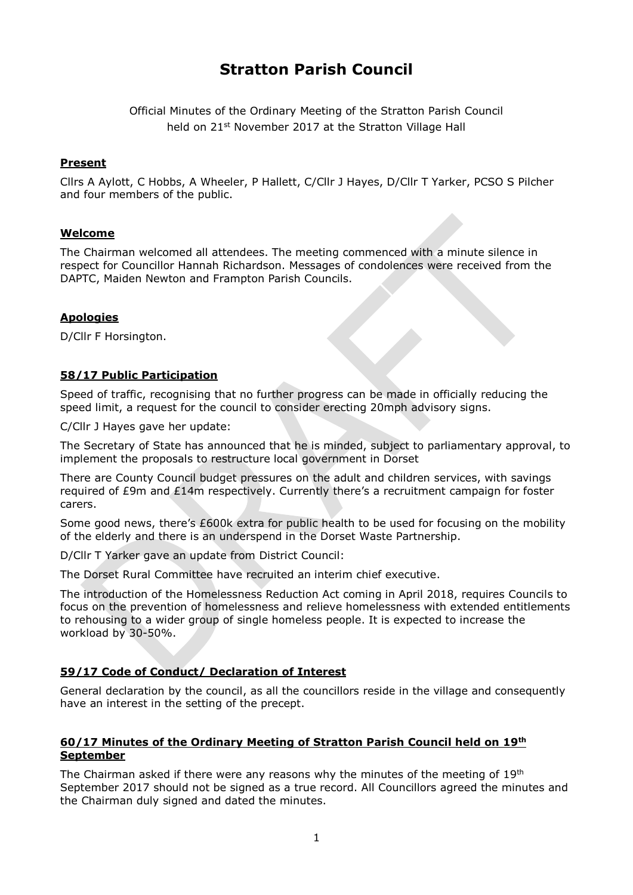# **Stratton Parish Council**

Official Minutes of the Ordinary Meeting of the Stratton Parish Council held on 21<sup>st</sup> November 2017 at the Stratton Village Hall

#### **Present**

Cllrs A Aylott, C Hobbs, A Wheeler, P Hallett, C/Cllr J Hayes, D/Cllr T Yarker, PCSO S Pilcher and four members of the public.

#### **Welcome**

The Chairman welcomed all attendees. The meeting commenced with a minute silence in respect for Councillor Hannah Richardson. Messages of condolences were received from the DAPTC, Maiden Newton and Frampton Parish Councils.

#### **Apologies**

D/Cllr F Horsington.

# **58/17 Public Participation**

Speed of traffic, recognising that no further progress can be made in officially reducing the speed limit, a request for the council to consider erecting 20mph advisory signs.

C/Cllr J Hayes gave her update:

The Secretary of State has announced that he is minded, subject to parliamentary approval, to implement the proposals to restructure local government in Dorset

There are County Council budget pressures on the adult and children services, with savings required of £9m and £14m respectively. Currently there's a recruitment campaign for foster carers.

Some good news, there's £600k extra for public health to be used for focusing on the mobility of the elderly and there is an underspend in the Dorset Waste Partnership.

D/Cllr T Yarker gave an update from District Council:

The Dorset Rural Committee have recruited an interim chief executive.

The introduction of the Homelessness Reduction Act coming in April 2018, requires Councils to focus on the prevention of homelessness and relieve homelessness with extended entitlements to rehousing to a wider group of single homeless people. It is expected to increase the workload by 30-50%.

# **59/17 Code of Conduct/ Declaration of Interest**

General declaration by the council, as all the councillors reside in the village and consequently have an interest in the setting of the precept.

#### **60/17 Minutes of the Ordinary Meeting of Stratton Parish Council held on 19 th September**

The Chairman asked if there were any reasons why the minutes of the meeting of  $19<sup>th</sup>$ September 2017 should not be signed as a true record. All Councillors agreed the minutes and the Chairman duly signed and dated the minutes.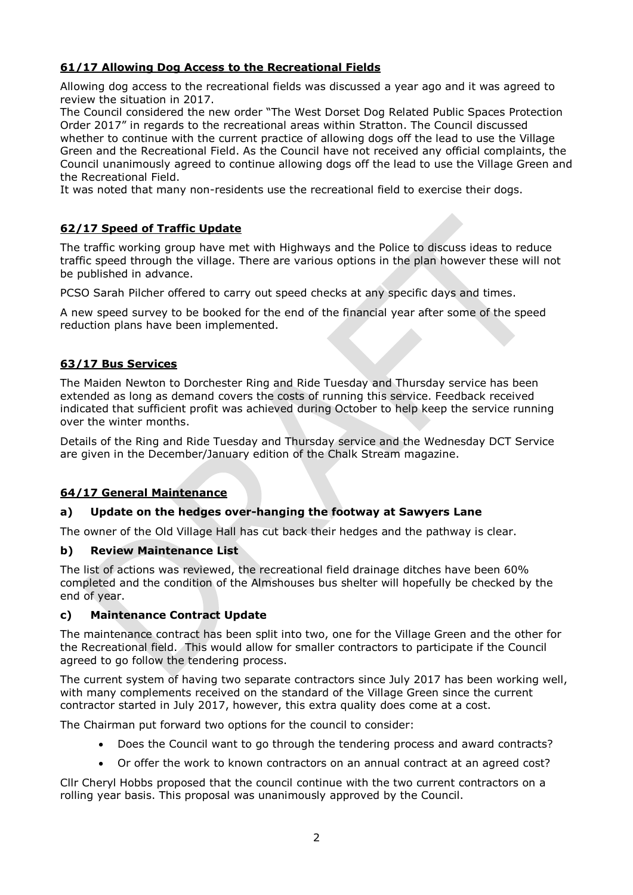# **61/17 Allowing Dog Access to the Recreational Fields**

Allowing dog access to the recreational fields was discussed a year ago and it was agreed to review the situation in 2017.

The Council considered the new order "The West Dorset Dog Related Public Spaces Protection Order 2017" in regards to the recreational areas within Stratton. The Council discussed whether to continue with the current practice of allowing dogs off the lead to use the Village Green and the Recreational Field. As the Council have not received any official complaints, the Council unanimously agreed to continue allowing dogs off the lead to use the Village Green and the Recreational Field.

It was noted that many non-residents use the recreational field to exercise their dogs.

# **62/17 Speed of Traffic Update**

The traffic working group have met with Highways and the Police to discuss ideas to reduce traffic speed through the village. There are various options in the plan however these will not be published in advance.

PCSO Sarah Pilcher offered to carry out speed checks at any specific days and times.

A new speed survey to be booked for the end of the financial year after some of the speed reduction plans have been implemented.

#### **63/17 Bus Services**

The Maiden Newton to Dorchester Ring and Ride Tuesday and Thursday service has been extended as long as demand covers the costs of running this service. Feedback received indicated that sufficient profit was achieved during October to help keep the service running over the winter months.

Details of the Ring and Ride Tuesday and Thursday service and the Wednesday DCT Service are given in the December/January edition of the Chalk Stream magazine.

# **64/17 General Maintenance**

# **a) Update on the hedges over-hanging the footway at Sawyers Lane**

The owner of the Old Village Hall has cut back their hedges and the pathway is clear.

#### **b) Review Maintenance List**

The list of actions was reviewed, the recreational field drainage ditches have been 60% completed and the condition of the Almshouses bus shelter will hopefully be checked by the end of year.

#### **c) Maintenance Contract Update**

The maintenance contract has been split into two, one for the Village Green and the other for the Recreational field. This would allow for smaller contractors to participate if the Council agreed to go follow the tendering process.

The current system of having two separate contractors since July 2017 has been working well, with many complements received on the standard of the Village Green since the current contractor started in July 2017, however, this extra quality does come at a cost.

The Chairman put forward two options for the council to consider:

- Does the Council want to go through the tendering process and award contracts?
- Or offer the work to known contractors on an annual contract at an agreed cost?

Cllr Cheryl Hobbs proposed that the council continue with the two current contractors on a rolling year basis. This proposal was unanimously approved by the Council.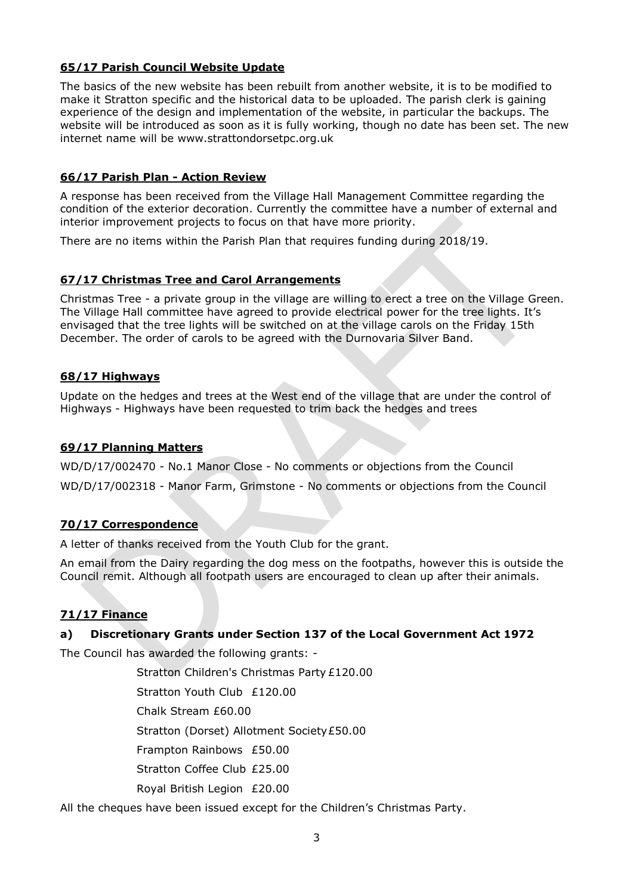# **65/17 Parish Council Website Update**

The basics of the new website has been rebuilt from another website, it is to be modified to make it Stratton specific and the historical data to be uploaded. The parish clerk is gaining experience of the design and implementation of the website, in particular the backups. The website will be introduced as soon as it is fully working, though no date has been set. The new internet name will be www.strattondorsetpc.org.uk

# **66/17 Parish Plan - Action Review**

A response has been received from the Village Hall Management Committee regarding the condition of the exterior decoration. Currently the committee have a number of external and interior improvement projects to focus on that have more priority.

There are no items within the Parish Plan that requires funding during 2018/19.

# **67/17 Christmas Tree and Carol Arrangements**

Christmas Tree - a private group in the village are willing to erect a tree on the Village Green. The Village Hall committee have agreed to provide electrical power for the tree lights. It's envisaged that the tree lights will be switched on at the village carols on the Friday 15th December. The order of carols to be agreed with the Durnovaria Silver Band.

# **68/17 Highways**

Update on the hedges and trees at the West end of the village that are under the control of Highways - Highways have been requested to trim back the hedges and trees

# **69/17 Planning Matters**

WD/D/17/002470 - No.1 Manor Close - No comments or objections from the Council

WD/D/17/002318 - Manor Farm, Grimstone - No comments or objections from the Council

# **70/17 Correspondence**

A letter of thanks received from the Youth Club for the grant.

An email from the Dairy regarding the dog mess on the footpaths, however this is outside the Council remit. Although all footpath users are encouraged to clean up after their animals.

# **71/17 Finance**

# **a) Discretionary Grants under Section 137 of the Local Government Act 1972**

The Council has awarded the following grants: -

Stratton Children's Christmas Party £120.00

Stratton Youth Club £120.00

Chalk Stream £60.00

Stratton (Dorset) Allotment Society£50.00

Frampton Rainbows £50.00

Stratton Coffee Club £25.00

Royal British Legion £20.00

All the cheques have been issued except for the Children's Christmas Party.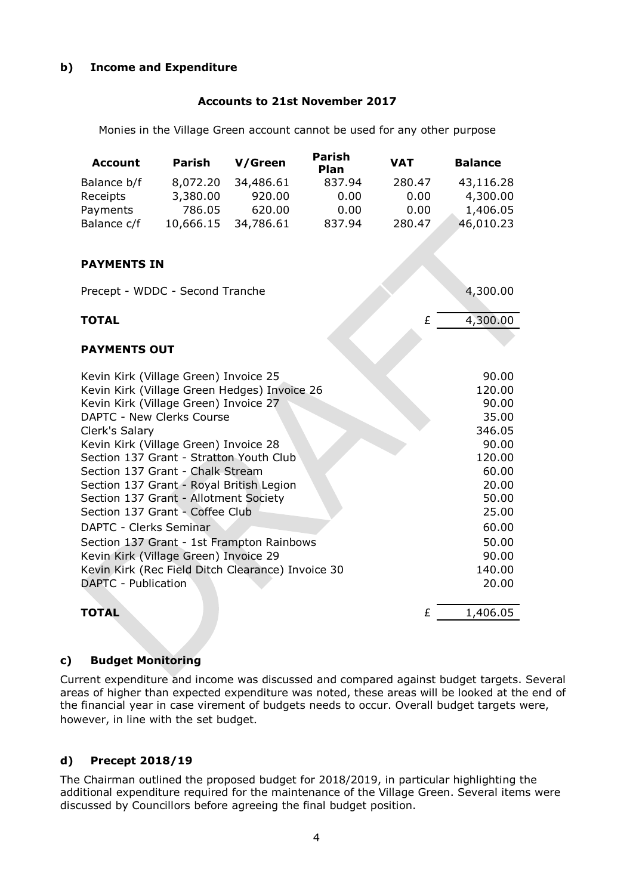# **b) Income and Expenditure**

#### **Accounts to 21st November 2017**

Monies in the Village Green account cannot be used for any other purpose

| <b>Account</b> | Parish    | V/Green   | <b>Parish</b><br><b>Plan</b> | <b>VAT</b> | <b>Balance</b> |
|----------------|-----------|-----------|------------------------------|------------|----------------|
| Balance b/f    | 8,072.20  | 34,486.61 | 837.94                       | 280.47     | 43,116.28      |
| Receipts       | 3,380.00  | 920.00    | 0.00                         | 0.00       | 4,300.00       |
| Payments       | 786.05    | 620.00    | 0.00                         | 0.00       | 1,406.05       |
| Balance c/f    | 10,666.15 | 34,786.61 | 837.94                       | 280.47     | 46,010.23      |

#### **PAYMENTS IN**

Precept - WDDC - Second Tranche 4,300.00

#### **TOTAL** £ 4,300.00

#### **PAYMENTS OUT**

| Kevin Kirk (Village Green) Invoice 25             | 90.00    |
|---------------------------------------------------|----------|
| Kevin Kirk (Village Green Hedges) Invoice 26      | 120.00   |
| Kevin Kirk (Village Green) Invoice 27             | 90.00    |
| DAPTC - New Clerks Course                         | 35.00    |
| Clerk's Salary                                    | 346.05   |
| Kevin Kirk (Village Green) Invoice 28             | 90.00    |
| Section 137 Grant - Stratton Youth Club           | 120.00   |
| Section 137 Grant - Chalk Stream                  | 60.00    |
| Section 137 Grant - Royal British Legion          | 20.00    |
| Section 137 Grant - Allotment Society             | 50.00    |
| Section 137 Grant - Coffee Club                   | 25.00    |
| DAPTC - Clerks Seminar                            | 60.00    |
| Section 137 Grant - 1st Frampton Rainbows         | 50.00    |
| Kevin Kirk (Village Green) Invoice 29             | 90.00    |
| Kevin Kirk (Rec Field Ditch Clearance) Invoice 30 | 140.00   |
| DAPTC - Publication                               | 20.00    |
|                                                   |          |
| TOTAL<br>£                                        | 1,406.05 |

#### **c) Budget Monitoring**

Current expenditure and income was discussed and compared against budget targets. Several areas of higher than expected expenditure was noted, these areas will be looked at the end of the financial year in case virement of budgets needs to occur. Overall budget targets were, however, in line with the set budget.

#### **d) Precept 2018/19**

The Chairman outlined the proposed budget for 2018/2019, in particular highlighting the additional expenditure required for the maintenance of the Village Green. Several items were discussed by Councillors before agreeing the final budget position.